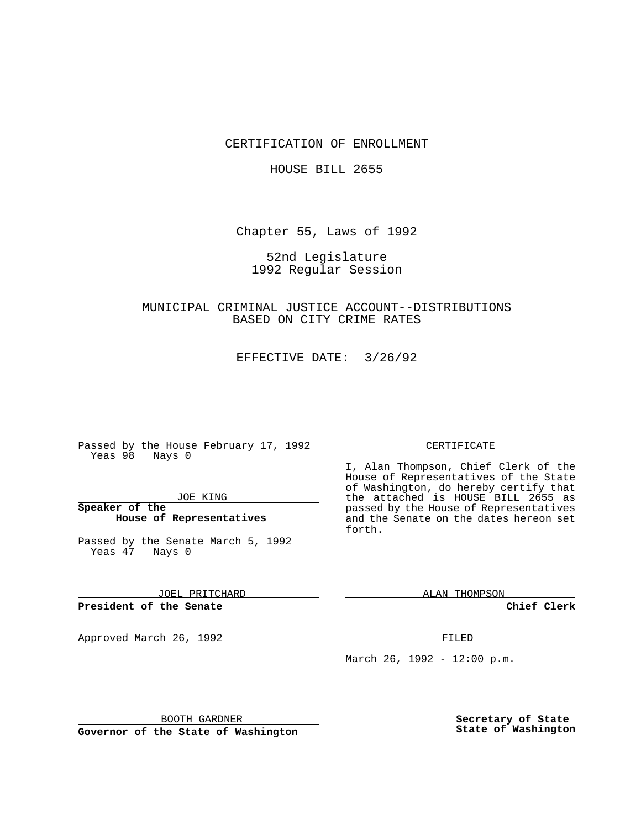### CERTIFICATION OF ENROLLMENT

#### HOUSE BILL 2655

Chapter 55, Laws of 1992

## 52nd Legislature 1992 Regular Session

# MUNICIPAL CRIMINAL JUSTICE ACCOUNT--DISTRIBUTIONS BASED ON CITY CRIME RATES

EFFECTIVE DATE: 3/26/92

Passed by the House February 17, 1992 Yeas 98 Nays 0

### JOE KING

### **Speaker of the House of Representatives**

Passed by the Senate March 5, 1992 Yeas 47 Nays 0

JOEL PRITCHARD

**President of the Senate**

Approved March 26, 1992 **FILED** 

#### CERTIFICATE

I, Alan Thompson, Chief Clerk of the House of Representatives of the State of Washington, do hereby certify that the attached is HOUSE BILL 2655 as passed by the House of Representatives and the Senate on the dates hereon set forth.

ALAN THOMPSON

**Chief Clerk**

March 26, 1992 - 12:00 p.m.

BOOTH GARDNER

**Governor of the State of Washington**

**Secretary of State State of Washington**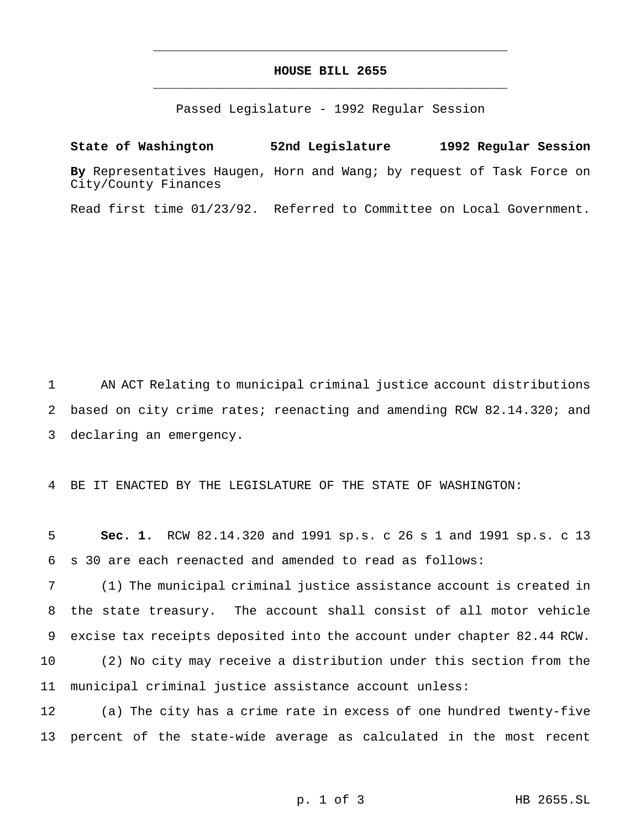# **HOUSE BILL 2655** \_\_\_\_\_\_\_\_\_\_\_\_\_\_\_\_\_\_\_\_\_\_\_\_\_\_\_\_\_\_\_\_\_\_\_\_\_\_\_\_\_\_\_\_\_\_\_

\_\_\_\_\_\_\_\_\_\_\_\_\_\_\_\_\_\_\_\_\_\_\_\_\_\_\_\_\_\_\_\_\_\_\_\_\_\_\_\_\_\_\_\_\_\_\_

Passed Legislature - 1992 Regular Session

**State of Washington 52nd Legislature 1992 Regular Session By** Representatives Haugen, Horn and Wang; by request of Task Force on City/County Finances

Read first time 01/23/92. Referred to Committee on Local Government.

1 AN ACT Relating to municipal criminal justice account distributions 2 based on city crime rates; reenacting and amending RCW 82.14.320; and 3 declaring an emergency.

4 BE IT ENACTED BY THE LEGISLATURE OF THE STATE OF WASHINGTON:

5 **Sec. 1.** RCW 82.14.320 and 1991 sp.s. c 26 s 1 and 1991 sp.s. c 13 6 s 30 are each reenacted and amended to read as follows:

 (1) The municipal criminal justice assistance account is created in the state treasury. The account shall consist of all motor vehicle excise tax receipts deposited into the account under chapter 82.44 RCW. (2) No city may receive a distribution under this section from the municipal criminal justice assistance account unless:

12 (a) The city has a crime rate in excess of one hundred twenty-five 13 percent of the state-wide average as calculated in the most recent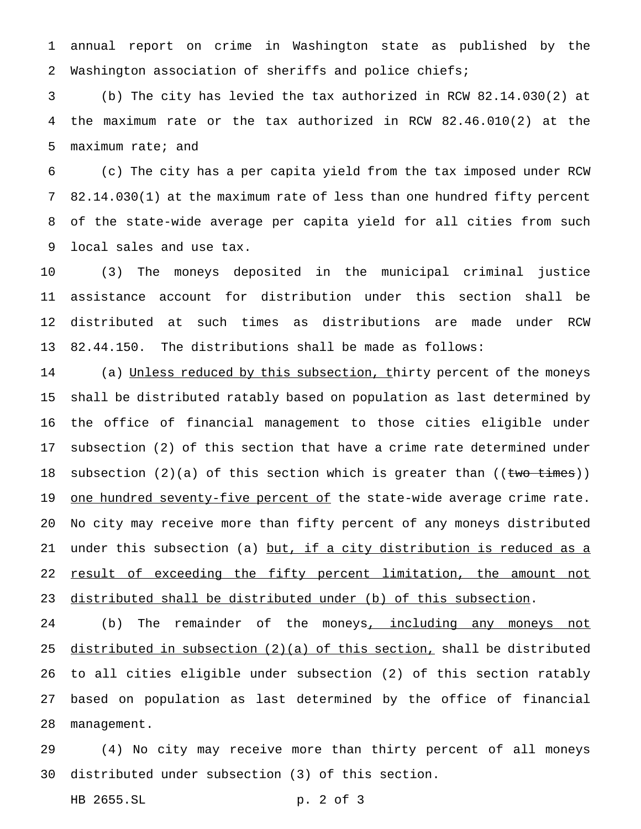annual report on crime in Washington state as published by the Washington association of sheriffs and police chiefs;

 (b) The city has levied the tax authorized in RCW 82.14.030(2) at the maximum rate or the tax authorized in RCW 82.46.010(2) at the maximum rate; and

 (c) The city has a per capita yield from the tax imposed under RCW 82.14.030(1) at the maximum rate of less than one hundred fifty percent of the state-wide average per capita yield for all cities from such local sales and use tax.

 (3) The moneys deposited in the municipal criminal justice assistance account for distribution under this section shall be distributed at such times as distributions are made under RCW 82.44.150. The distributions shall be made as follows:

14 (a) Unless reduced by this subsection, thirty percent of the moneys shall be distributed ratably based on population as last determined by the office of financial management to those cities eligible under subsection (2) of this section that have a crime rate determined under 18 subsection  $(2)(a)$  of this section which is greater than  $((\text{two times}))$ 19 one hundred seventy-five percent of the state-wide average crime rate. No city may receive more than fifty percent of any moneys distributed under this subsection (a) but, if a city distribution is reduced as a 22 result of exceeding the fifty percent limitation, the amount not distributed shall be distributed under (b) of this subsection.

24 (b) The remainder of the moneys, including any moneys not distributed in subsection (2)(a) of this section, shall be distributed to all cities eligible under subsection (2) of this section ratably based on population as last determined by the office of financial management.

 (4) No city may receive more than thirty percent of all moneys distributed under subsection (3) of this section.

HB 2655.SL p. 2 of 3